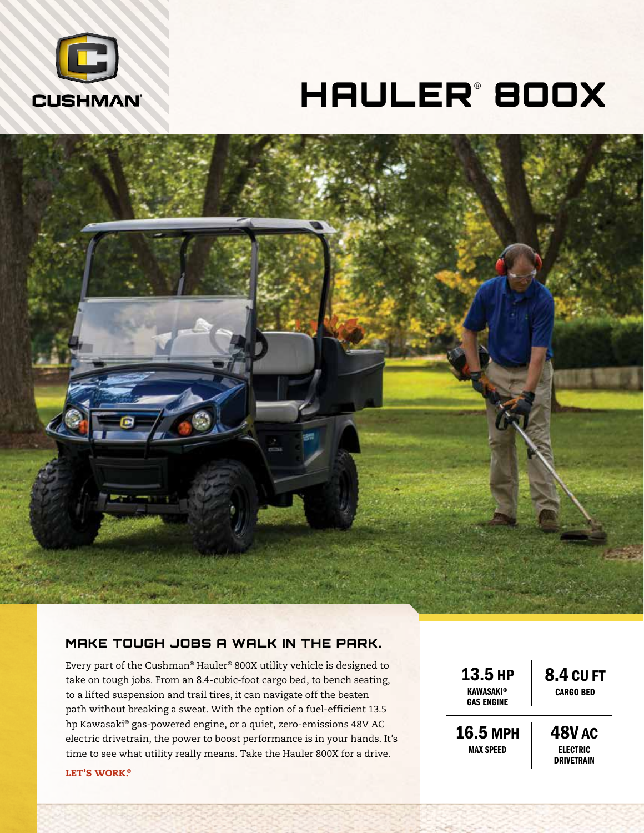

# HAULER® 8OOX



### MAKE TOUGH JOBS A WALK IN THE PARK.

Every part of the Cushman® Hauler® 800X utility vehicle is designed to take on tough jobs. From an 8.4-cubic-foot cargo bed, to bench seating, to a lifted suspension and trail tires, it can navigate off the beaten path without breaking a sweat. With the option of a fuel-efficient 13.5 hp Kawasaki® gas-powered engine, or a quiet, zero-emissions 48V AC electric drivetrain, the power to boost performance is in your hands. It's time to see what utility really means. Take the Hauler 800X for a drive.

13.5 HP **KAWASAKI® GAS ENGINE** 

8.4 CU FT CARGO BED

16.5 MPH MAX SPEED

48V AC ELECTRIC **DRIVETRAIN** 

#### LET'S WORK®